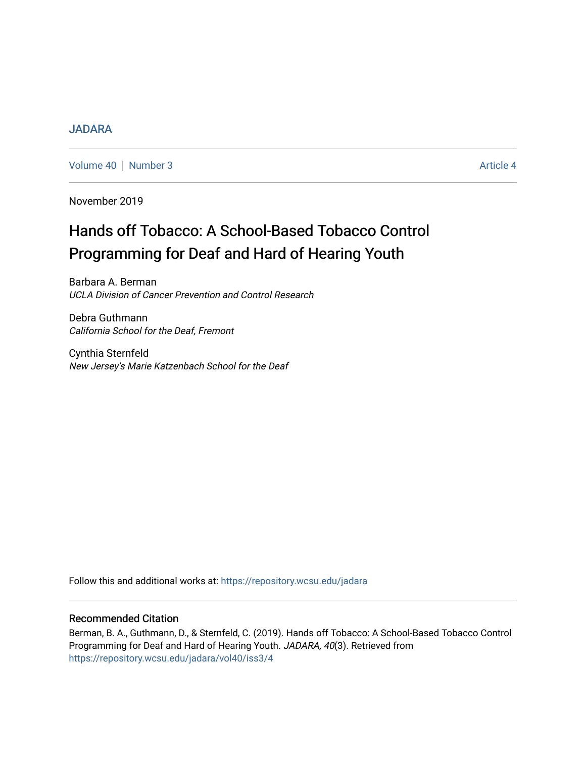## [JADARA](https://repository.wcsu.edu/jadara)

[Volume 40](https://repository.wcsu.edu/jadara/vol40) | [Number 3](https://repository.wcsu.edu/jadara/vol40/iss3) Article 4

November 2019

# Hands off Tobacco: A School-Based Tobacco Control Programming for Deaf and Hard of Hearing Youth

Barbara A. Berman UCLA Division of Cancer Prevention and Control Research

Debra Guthmann California School for the Deaf, Fremont

Cynthia Sternfeld New Jersey's Marie Katzenbach School for the Deaf

Follow this and additional works at: [https://repository.wcsu.edu/jadara](https://repository.wcsu.edu/jadara?utm_source=repository.wcsu.edu%2Fjadara%2Fvol40%2Fiss3%2F4&utm_medium=PDF&utm_campaign=PDFCoverPages)

### Recommended Citation

Berman, B. A., Guthmann, D., & Sternfeld, C. (2019). Hands off Tobacco: A School-Based Tobacco Control Programming for Deaf and Hard of Hearing Youth. JADARA, 40(3). Retrieved from [https://repository.wcsu.edu/jadara/vol40/iss3/4](https://repository.wcsu.edu/jadara/vol40/iss3/4?utm_source=repository.wcsu.edu%2Fjadara%2Fvol40%2Fiss3%2F4&utm_medium=PDF&utm_campaign=PDFCoverPages)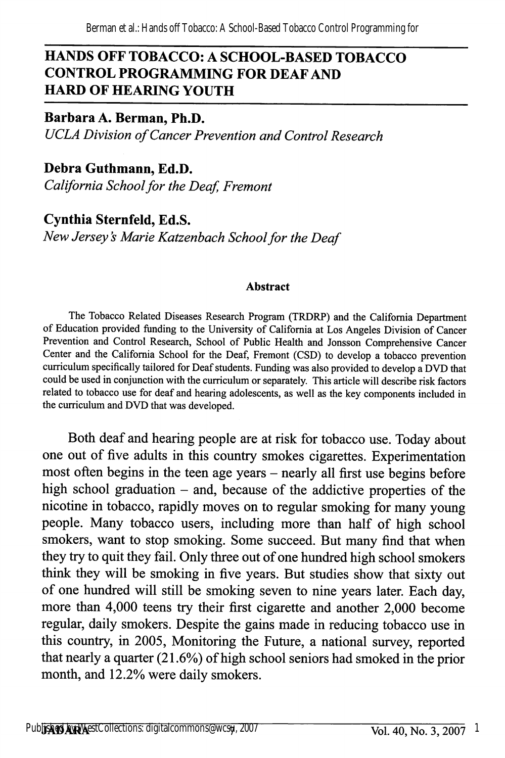## HANDS OFF TOBACCO: A SCHOOL-BASED TOBACCO CONTROL PROGRAMMING FOR DEAF AND HARD OF HEARING YOUTH

Barbara A. Berman, Ph.D. UCLA Division of Cancer Prevention and Control Research

Debra Guthmann, Ed.D. California School for the Deaf, Fremont

Cynthia Sternfeld, Ed.S. New Jersey's Marie Katzenbach School for the Deaf

#### Abstract

The Tobacco Related Diseases Research Program (TRDRP) and the Califomia Department of Education provided funding to the University of Califomia at Los Angeles Division of Cancer Prevention and Control Research, School of Public Health and Jonsson Comprehensive Cancer Center and the Califomia School for the Deaf, Fremont (CSD) to develop a tobacco prevention curriculum specifically tailored for Deaf students. Funding was also provided to develop a DVD that could be used in conjunction with the curriculum or separately. This article will describe risk factors related to tobacco use for deaf and hearing adolescents, as well as the key components included in the curriculum and DVD that was developed.

Both deaf and hearing people are at risk for tobacco use. Today about one out of five adults in this country smokes cigarettes. Experimentation most often begins in the teen age years – nearly all first use begins before high school graduation  $-$  and, because of the addictive properties of the nicotine in tobacco, rapidly moves on to regular smoking for many young people. Many tobacco users, including more than half of high school smokers, want to stop smoking. Some succeed. But many find that when they try to quit they fail. Only three out of one hundred high school smokers think they will be smoking in five years. But studies show that sixty out of one himdred will still be smoking seven to nine years later. Each day, more than 4,000 teens try their first cigarette and another 2,000 become regular, daily smokers. Despite the gains made in reducing tobacco use in this country, in 2005, Monitoring the Future, a national survey, reported that nearly a quarter (21.6%) of high school seniors had smoked in the prior month, and 12.2% were daily smokers.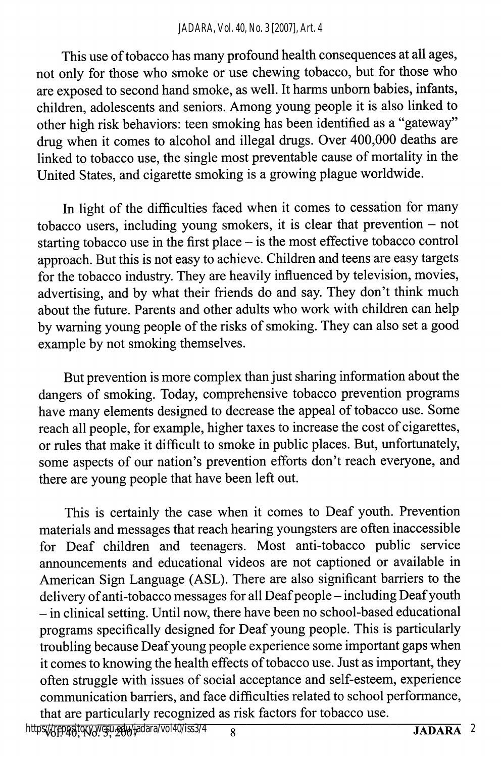This use of tobacco has many profound health consequences at all ages, not only for those who smoke or use chewing tobacco, but for those who are exposed to second hand smoke, as well. It harms unborn babies, infants, children, adolescents and seniors. Among young people it is also linked to other high risk behaviors: teen smoking has been identified as a "gateway" drug when it comes to alcohol and illegal drugs. Over 400,000 deaths are linked to tobacco use, the single most preventable cause of mortality in the United States, and cigarette smoking is a growing plague worldwide.

In light of the difficulties faced when it comes to cessation for many tobacco users, including young smokers, it is clear that prevention  $-$  not starting tobacco use in the first place - is the most effective tobacco control approach. But this is not easy to achieve. Children and teens are easy targets for the tobacco industry. They are heavily influenced by television, movies, advertising, and by what their friends do and say. They don't think much about the future. Parents and other adults who work with children can help by waming young people of the risks of smoking. They can also set a good example by not smoking themselves.

But prevention is more complex than just sharing information about the dangers of smoking. Today, comprehensive tobacco prevention programs have many elements designed to decrease the appeal of tobacco use. Some reach all people, for example, higher taxes to increase the cost of cigarettes, or rules that make it difficult to smoke in public places. But, unfortunately, some aspects of our nation's prevention efforts don't reach everyone, and there are young people that have been left out.

This is certainly the case when it comes to Deaf youth. Prevention materials and messages that reach hearing youngsters are often inaccessible for Deaf children and teenagers. Most anti-tobacco public service announcements and educational videos are not captioned or available in American Sign Language (AST). There are also significant barriers to the delivery of anti-tobacco messages for all Deaf people - including Deaf youth - in clinical setting. Until now, there have been no school-based educational programs specifically designed for Deaf young people. This is particularly troubling because Deaf young people experience some important gaps when it comes to knowing the health effects of tobacco use. Just as important, they often struggle with issues of social acceptance and self-esteem, experience communication barriers, and face difficulties related to school performance, that are particularly recognized as risk factors for tobacco use.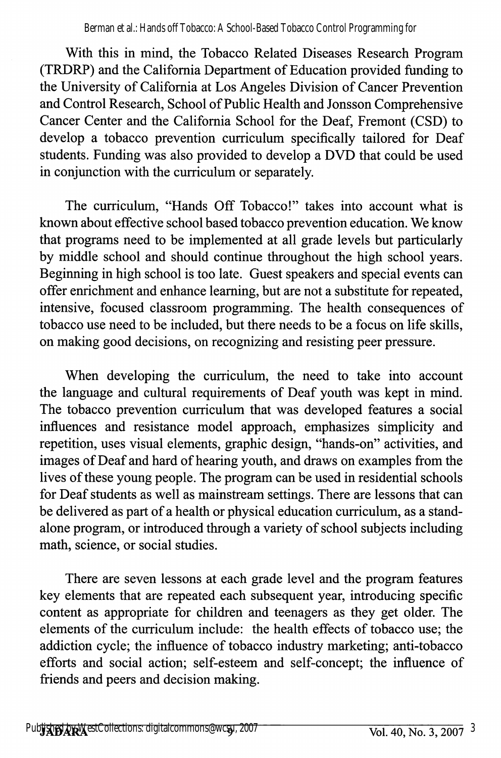With this in mind, the Tobacco Related Diseases Research Program (TRDRP) and the California Department of Education provided funding to the University of California at Los Angeles Division of Cancer Prevention and Control Research, School of Public Health and Jonsson Comprehensive Cancer Center and the California School for the Deaf, Fremont (CSD) to develop a tobacco prevention curriculum specifically tailored for Deaf students. Funding was also provided to develop a DVD that could be used in conjunction with the curriculum or separately.

The curriculum, "Hands Off Tobacco!" takes into account what is known about effective school based tobacco prevention education. We know that programs need to be implemented at all grade levels but particularly by middle school and should continue throughout the high school years. Beginning in high school is too late. Guest speakers and special events can offer enrichment and enhance learning, but are not a substitute for repeated, intensive, focused classroom programming. The health consequences of tobacco use need to be included, but there needs to be a focus on life skills, on making good decisions, on recognizing and resisting peer pressure.

When developing the curriculum, the need to take into account the language and cultural requirements of Deaf youth was kept in mind. The tobacco prevention curriculum that was developed features a social influences and resistance model approach, emphasizes simplicity and repetition, uses visual elements, graphic design, "hands-on" activities, and images of Deaf and hard of hearing youth, and draws on examples from the lives of these young people. The program can be used in residential schools for Deaf students as well as mainstream settings. There are lessons that can be delivered as part of a health or physical education curriculum, as a stand alone program, or introduced through a variety of school subjects including math, science, or social studies.

There are seven lessons at each grade level and the program features key elements that are repeated each subsequent year, introducing specific content as appropriate for children and teenagers as they get older. The elements of the curriculum include: the health effects of tobacco use; the addiction cycle; the influence of tobacco industry marketing; anti-tobacco efforts and social action; self-esteem and self-concept; the influence of friends and peers and decision making.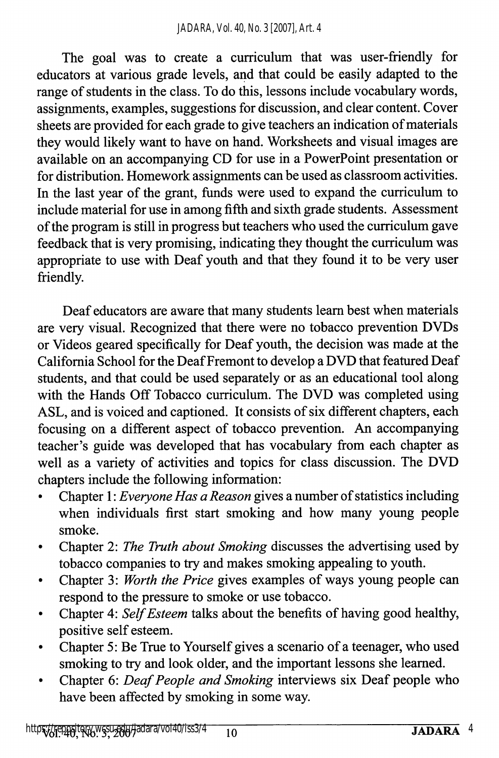The goal was to create a curriculum that was user-friendly for educators at various grade levels, and that could be easily adapted to the range of students in the class. To do this, lessons include vocabulary words, assignments, examples, suggestions for discussion, and clear content. Cover sheets are provided for each grade to give teachers an indication of materials they would likely want to have on hand. Worksheets and visual images are available on an accompanying CD for use in a PowerPoint presentation or for distribution. Homework assignments can be used as classroom activities. In the last year of the grant, funds were used to expand the curriculum to include material for use in among fifth and sixth grade students. Assessment of the program is still in progress but teachers who used the curriculum gave feedback that is very promising, indicating they thought the curriculum was appropriate to use with Deaf youth and that they found it to be very user friendly.

Deaf educators are aware that many students leam best when materials are very visual. Recognized that there were no tobacco prevention DVDs or Videos geared specifically for Deaf youth, the decision was made at the Califomia School for the Deaf Fremont to develop a DVD that featured Deaf students, and that could be used separately or as an educational tool along with the Hands Off Tobacco curriculum. The DVD was completed using ASL, and is voiced and captioned. It consists of six different chapters, each focusing on a different aspect of tobacco prevention. An accompanying teacher's guide was developed that has vocabulary from each chapter as well as a variety of activities and topics for class discussion. The DVD chapters include the following information:

- Chapter I: Everyone Has a Reason gives a number of statistics including when individuals first start smoking and how many young people smoke.
- Chapter 2: The Truth about Smoking discusses the advertising used by  $\bullet$ tobacco companies to try and makes smoking appealing to youth.
- Chapter 3: Worth the Price gives examples of ways young people can respond to the pressure to smoke or use tobacco.
- Chapter 4: Self Esteem talks about the benefits of having good healthy,  $\bullet$ positive self esteem.
- Chapter 5: Be True to Yourself gives a scenario of a teenager, who used smoking to try and look older, and the important lessons she learned.
- Chapter 6: Deaf People and Smoking interviews six Deaf people who have been affected by smoking in some way.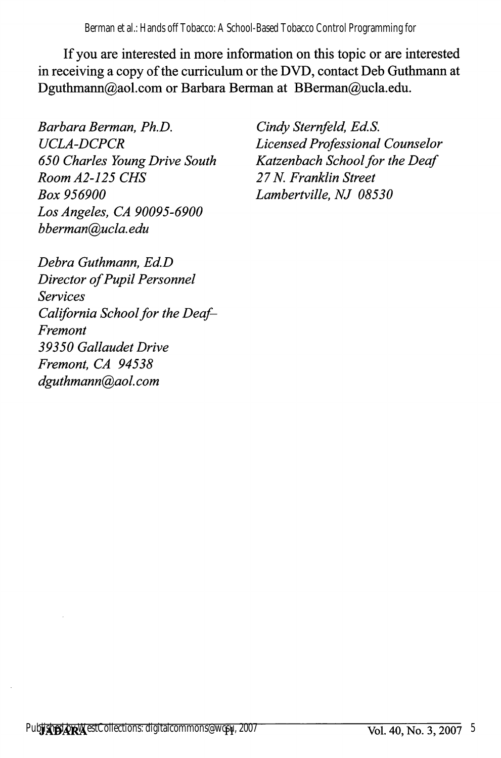Berman et al.: Hands off Tobacco: A School-Based Tobacco Control Programming for

If you are interested in more information on this topic or are interested in receiving a copy of the curriculum or the DVD, contact Deb Guthmann at Dguthmann@aol.com or Barbara Berman at BBerman@ucla.edu.

Barbara Berman, Ph.D. UCLA-DCPCR 650 Charles Young Drive South Room A2-125 CMS Box 956900 Los Angeles, CA 90095-6900 bberman@ucla. edu

Cindy Sternfeld, Ed.S. Licensed Professional Counselor Katzenbach School for the Deaf 27 N. Franklin Street Lambertville, NJ 08530

Debra Guthmann, Ed.D Director of Pupil Personnel Services California School for the Deaf-Fremont 39350 Gallaudet Drive Fremont, CA 94538 dguthmann@aol. com